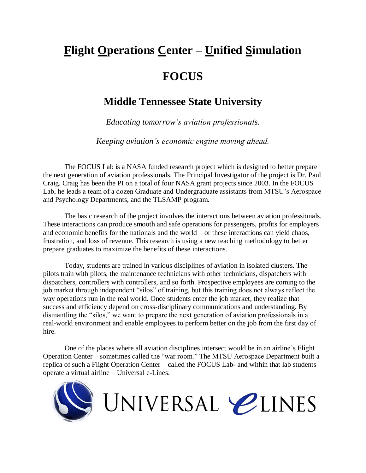## **Flight Operations Center – Unified Simulation FOCUS**

## **Middle Tennessee State University**

*Educating tomorrow's aviation professionals.*

*Keeping aviation's economic engine moving ahead.*

The FOCUS Lab is a NASA funded research project which is designed to better prepare the next generation of aviation professionals. The Principal Investigator of the project is Dr. Paul Craig. Craig has been the PI on a total of four NASA grant projects since 2003. In the FOCUS Lab, he leads a team of a dozen Graduate and Undergraduate assistants from MTSU's Aerospace and Psychology Departments, and the TLSAMP program.

The basic research of the project involves the interactions between aviation professionals. These interactions can produce smooth and safe operations for passengers, profits for employers and economic benefits for the nationals and the world – or these interactions can yield chaos, frustration, and loss of revenue. This research is using a new teaching methodology to better prepare graduates to maximize the benefits of these interactions.

Today, students are trained in various disciplines of aviation in isolated clusters. The pilots train with pilots, the maintenance technicians with other technicians, dispatchers with dispatchers, controllers with controllers, and so forth. Prospective employees are coming to the job market through independent "silos" of training, but this training does not always reflect the way operations run in the real world. Once students enter the job market, they realize that success and efficiency depend on cross-disciplinary communications and understanding. By dismantling the "silos," we want to prepare the next generation of aviation professionals in a real-world environment and enable employees to perform better on the job from the first day of hire.

One of the places where all aviation disciplines intersect would be in an airline's Flight Operation Center – sometimes called the "war room." The MTSU Aerospace Department built a replica of such a Flight Operation Center – called the FOCUS Lab- and within that lab students operate a virtual airline – Universal e-Lines.

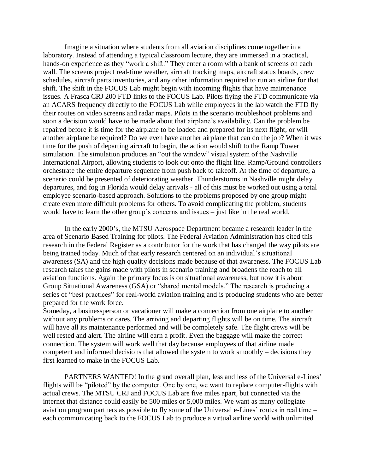Imagine a situation where students from all aviation disciplines come together in a laboratory. Instead of attending a typical classroom lecture, they are immersed in a practical, hands-on experience as they "work a shift." They enter a room with a bank of screens on each wall. The screens project real-time weather, aircraft tracking maps, aircraft status boards, crew schedules, aircraft parts inventories, and any other information required to run an airline for that shift. The shift in the FOCUS Lab might begin with incoming flights that have maintenance issues. A Frasca CRJ 200 FTD links to the FOCUS Lab. Pilots flying the FTD communicate via an ACARS frequency directly to the FOCUS Lab while employees in the lab watch the FTD fly their routes on video screens and radar maps. Pilots in the scenario troubleshoot problems and soon a decision would have to be made about that airplane's availability. Can the problem be repaired before it is time for the airplane to be loaded and prepared for its next flight, or will another airplane be required? Do we even have another airplane that can do the job? When it was time for the push of departing aircraft to begin, the action would shift to the Ramp Tower simulation. The simulation produces an "out the window" visual system of the Nashville International Airport, allowing students to look out onto the flight line. Ramp/Ground controllers orchestrate the entire departure sequence from push back to takeoff. At the time of departure, a scenario could be presented of deteriorating weather. Thunderstorms in Nashville might delay departures, and fog in Florida would delay arrivals - all of this must be worked out using a total employee scenario-based approach. Solutions to the problems proposed by one group might create even more difficult problems for others. To avoid complicating the problem, students would have to learn the other group's concerns and issues – just like in the real world.

In the early 2000's, the MTSU Aerospace Department became a research leader in the area of Scenario Based Training for pilots. The Federal Aviation Administration has cited this research in the Federal Register as a contributor for the work that has changed the way pilots are being trained today. Much of that early research centered on an individual's situational awareness (SA) and the high quality decisions made because of that awareness. The FOCUS Lab research takes the gains made with pilots in scenario training and broadens the reach to all aviation functions. Again the primary focus is on situational awareness, but now it is about Group Situational Awareness (GSA) or "shared mental models." The research is producing a series of "best practices" for real-world aviation training and is producing students who are better prepared for the work force.

Someday, a businessperson or vacationer will make a connection from one airplane to another without any problems or cares. The arriving and departing flights will be on time. The aircraft will have all its maintenance performed and will be completely safe. The flight crews will be well rested and alert. The airline will earn a profit. Even the baggage will make the correct connection. The system will work well that day because employees of that airline made competent and informed decisions that allowed the system to work smoothly – decisions they first learned to make in the FOCUS Lab.

PARTNERS WANTED! In the grand overall plan, less and less of the Universal e-Lines' flights will be "piloted" by the computer. One by one, we want to replace computer-flights with actual crews. The MTSU CRJ and FOCUS Lab are five miles apart, but connected via the internet that distance could easily be 500 miles or 5,000 miles. We want as many collegiate aviation program partners as possible to fly some of the Universal e-Lines' routes in real time – each communicating back to the FOCUS Lab to produce a virtual airline world with unlimited